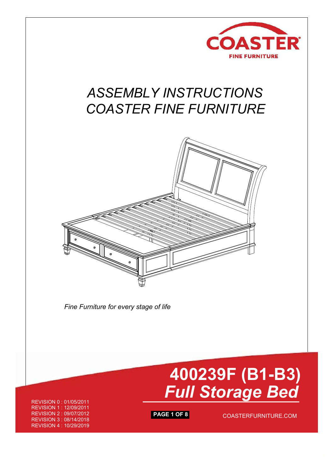

# *ASSEMBLY INSTRUCTIONS COASTER FINE FURNITURE*



*Fine Furniture for every stage of life*

 **400239F (B1-B3)**  *Full Storage Bed*

REVISION 0 : 01/05/2011 REVISION 1 : 12/09/2011 REVISION 2 : 09/07/2012 REVISION 3 : 08/14/2018 REVISION 4 : 10/29/2019

**PAGE 1 OF 8** COASTERFURNITURE.COM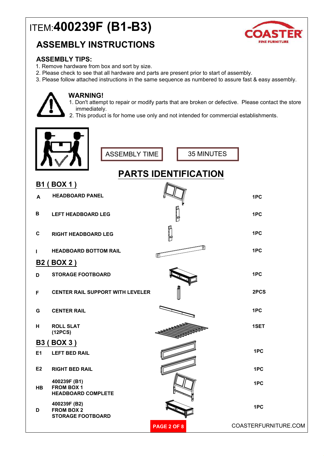## ITEM:**400239F (B1-B3)**

## **ASSEMBLY INSTRUCTIONS**



## **ASSEMBLY TIPS:**

- 1. Remove hardware from box and sort by size.
- 2. Please check to see that all hardware and parts are present prior to start of assembly.
- 3. Please follow attached instructions in the same sequence as numbered to assure fast & easy assembly.



### **WARNING!**

- 1. Don't attempt to repair or modify parts that are broken or defective. Please contact the store immediately.
- 2. This product is for home use only and not intended for commercial establishments.



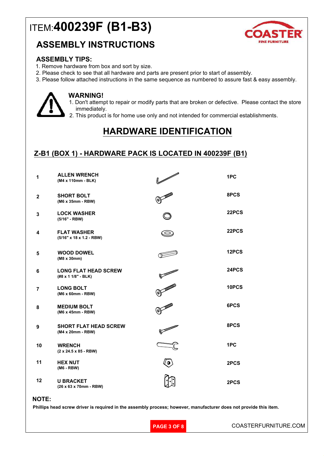## ITEM:**400239F (B1-B3)**

## **ASSEMBLY INSTRUCTIONS**



### **ASSEMBLY TIPS:**

- 1. Remove hardware from box and sort by size.
- 2. Please check to see that all hardware and parts are present prior to start of assembly.
- 3. Please follow attached instructions in the same sequence as numbered to assure fast & easy assembly.



### **WARNING!**

- 1. Don't attempt to repair or modify parts that are broken or defective. Please contact the store immediately.
- 2. This product is for home use only and not intended for commercial establishments.

## **HARDWARE IDENTIFICATION**

### **Z-B1 (BOX 1) - HARDWARE PACK IS LOCATED IN 400239F (B1)**

| 1              | <b>ALLEN WRENCH</b><br>(M4 x 110mm - BLK)          | <b>Similar Contract Contract Contract Contract Contract Contract Contract Contract Contract Contract Contract Co</b> | 1PC   |
|----------------|----------------------------------------------------|----------------------------------------------------------------------------------------------------------------------|-------|
| $\mathbf{2}$   | <b>SHORT BOLT</b><br>(M6 x 35mm - RBW)             |                                                                                                                      | 8PCS  |
| 3              | <b>LOCK WASHER</b><br>(5/16" - RBW)                |                                                                                                                      | 22PCS |
| 4              | <b>FLAT WASHER</b><br>(5/16" x 18 x 1.2 - RBW)     | O                                                                                                                    | 22PCS |
| 5              | <b>WOOD DOWEL</b><br>(M8 x 30mm)                   |                                                                                                                      | 12PCS |
| 6              | <b>LONG FLAT HEAD SCREW</b><br>(#8 x 1 1/8" - BLK) |                                                                                                                      | 24PCS |
| $\overline{7}$ | <b>LONG BOLT</b><br>(M6 x 60mm - RBW)              | O MARINE                                                                                                             | 10PCS |
| 8              | <b>MEDIUM BOLT</b><br>(M6 x 45mm - RBW)            |                                                                                                                      | 6PCS  |
| 9              | <b>SHORT FLAT HEAD SCREW</b><br>(M4 x 20mm - RBW)  |                                                                                                                      | 8PCS  |
| 10             | <b>WRENCH</b><br>$(2 \times 24.5 \times 85 - RBW)$ |                                                                                                                      | 1PC   |
| 11             | <b>HEX NUT</b><br>(M6 - RBW)                       |                                                                                                                      | 2PCS  |
| 12             | <b>U BRACKET</b><br>(26 x 63 x 70mm - RBW)         |                                                                                                                      | 2PCS  |

#### **NOTE:**

**Phillips head screw driver is required in the assembly process; however, manufacturer does not provide this item.**

**PAGE 3 OF 8** COASTERFURNITURE.COM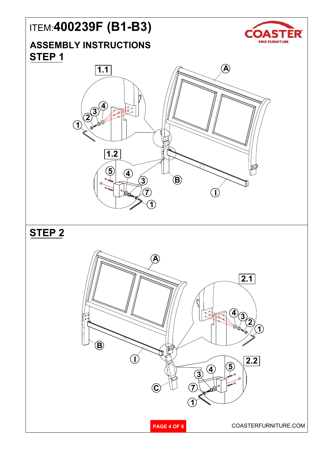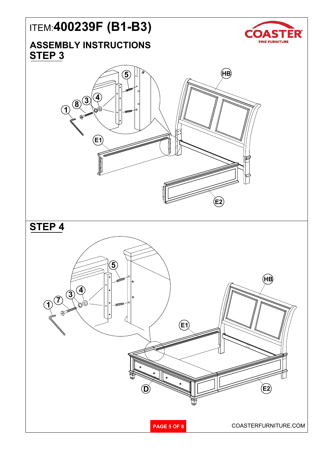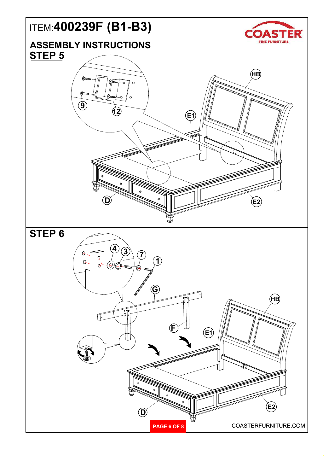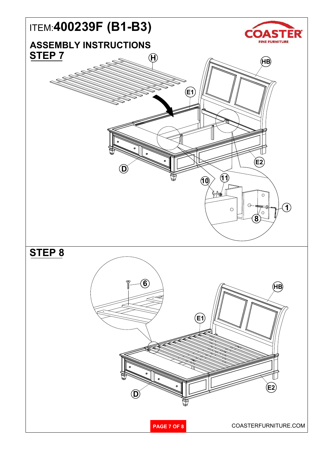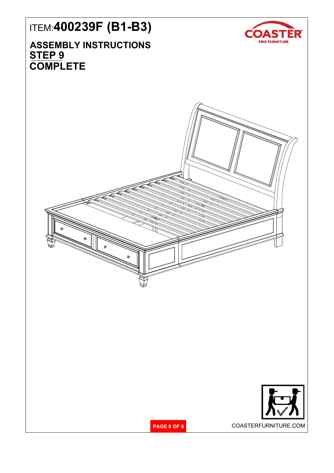